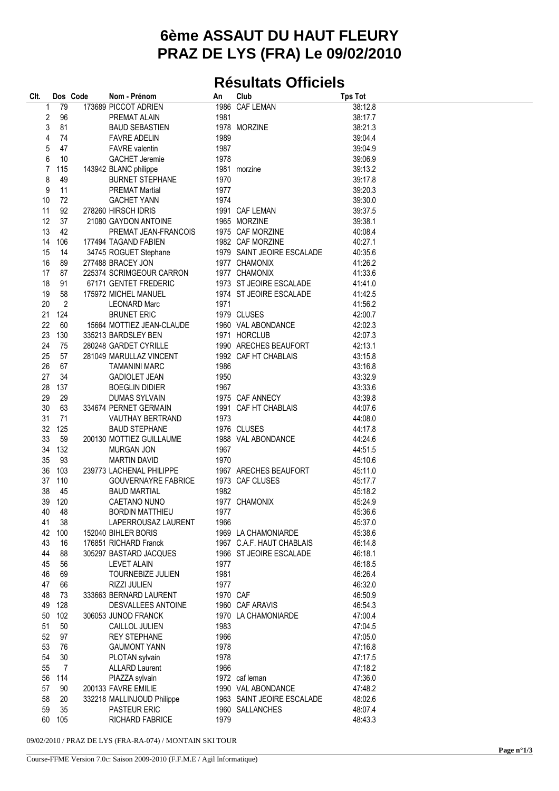## **6ème ASSAUT DU HAUT FLEURY PRAZ DE LYS (FRA) Le 09/02/2010**

## **Résultats Officiels**

| Clt. |                | Dos Code | Nom - Prénom               | An       | Club                       | <b>Tps Tot</b> |  |
|------|----------------|----------|----------------------------|----------|----------------------------|----------------|--|
| 1    | 79             |          | 173689 PICCOT ADRIEN       |          | 1986 CAF LEMAN             | 38:12.8        |  |
| 2    | 96             |          | PREMAT ALAIN               | 1981     |                            | 38:17.7        |  |
| 3    | 81             |          | <b>BAUD SEBASTIEN</b>      |          | 1978 MORZINE               | 38:21.3        |  |
| 4    | 74             |          | <b>FAVRE ADELIN</b>        | 1989     |                            | 39:04.4        |  |
| 5    | 47             |          | <b>FAVRE</b> valentin      | 1987     |                            | 39:04.9        |  |
| 6    | 10             |          | <b>GACHET Jeremie</b>      | 1978     |                            | 39:06.9        |  |
| 7    | 115            |          | 143942 BLANC philippe      |          | 1981 morzine               | 39:13.2        |  |
| 8    | 49             |          | <b>BURNET STEPHANE</b>     | 1970     |                            | 39:17.8        |  |
| 9    | 11             |          | <b>PREMAT Martial</b>      | 1977     |                            | 39:20.3        |  |
| 10   | 72             |          | <b>GACHET YANN</b>         | 1974     |                            | 39:30.0        |  |
| 11   | 92             |          | 278260 HIRSCH IDRIS        |          | 1991 CAF LEMAN             | 39:37.5        |  |
| 12   | 37             |          | 21080 GAYDON ANTOINE       |          | 1965 MORZINE               | 39:38.1        |  |
| 13   | 42             |          | PREMAT JEAN-FRANCOIS       |          | 1975 CAF MORZINE           | 40:08.4        |  |
| 14   | 106            |          | 177494 TAGAND FABIEN       |          | 1982 CAF MORZINE           | 40:27.1        |  |
| 15   | 14             |          | 34745 ROGUET Stephane      |          | 1979 SAINT JEOIRE ESCALADE | 40:35.6        |  |
| 16   | 89             |          | 277488 BRACEY JON          |          | 1977 CHAMONIX              | 41:26.2        |  |
| 17   | 87             |          | 225374 SCRIMGEOUR CARRON   |          | 1977 CHAMONIX              | 41:33.6        |  |
| 18   | 91             |          | 67171 GENTET FREDERIC      |          | 1973 ST JEOIRE ESCALADE    | 41:41.0        |  |
| 19   | 58             |          | 175972 MICHEL MANUEL       |          | 1974 ST JEOIRE ESCALADE    | 41:42.5        |  |
| 20   | $\overline{2}$ |          | <b>LEONARD Marc</b>        | 1971     |                            | 41:56.2        |  |
| 21   | 124            |          | <b>BRUNET ERIC</b>         |          | 1979 CLUSES                | 42:00.7        |  |
| 22   | 60             |          | 15664 MOTTIEZ JEAN-CLAUDE  |          | 1960 VAL ABONDANCE         | 42:02.3        |  |
| 23   | 130            |          | 335213 BARDSLEY BEN        |          | 1971 HORCLUB               | 42:07.3        |  |
| 24   | 75             |          | 280248 GARDET CYRILLE      |          | 1990 ARECHES BEAUFORT      | 42:13.1        |  |
| 25   | 57             |          | 281049 MARULLAZ VINCENT    |          | 1992 CAF HT CHABLAIS       | 43:15.8        |  |
| 26   | 67             |          | <b>TAMANINI MARC</b>       | 1986     |                            | 43:16.8        |  |
| 27   | 34             |          | <b>GADIOLET JEAN</b>       | 1950     |                            | 43:32.9        |  |
| 28   | 137            |          | <b>BOEGLIN DIDIER</b>      | 1967     |                            | 43:33.6        |  |
| 29   | 29             |          | DUMAS SYLVAIN              |          | 1975 CAF ANNECY            | 43:39.8        |  |
| 30   | 63             |          | 334674 PERNET GERMAIN      |          | 1991 CAF HT CHABLAIS       | 44:07.6        |  |
| 31   | 71             |          | <b>VAUTHAY BERTRAND</b>    | 1973     |                            | 44:08.0        |  |
| 32   | 125            |          | <b>BAUD STEPHANE</b>       |          | 1976 CLUSES                | 44:17.8        |  |
| 33   | 59             |          | 200130 MOTTIEZ GUILLAUME   |          | 1988 VAL ABONDANCE         | 44:24.6        |  |
| 34   | 132            |          | <b>MURGAN JON</b>          | 1967     |                            | 44:51.5        |  |
| 35   | 93             |          | <b>MARTIN DAVID</b>        | 1970     |                            | 45:10.6        |  |
| 36   | 103            |          | 239773 LACHENAL PHILIPPE   |          | 1967 ARECHES BEAUFORT      | 45:11.0        |  |
| 37   | 110            |          | <b>GOUVERNAYRE FABRICE</b> |          | 1973 CAF CLUSES            | 45:17.7        |  |
| 38   | 45             |          | <b>BAUD MARTIAL</b>        | 1982     |                            | 45:18.2        |  |
| 39   | 120            |          | <b>CAETANO NUNO</b>        |          | 1977 CHAMONIX              | 45:24.9        |  |
| 40   | - 48           |          | <b>BORDIN MATTHIEU</b>     | 1977     |                            | 45:36.6        |  |
| 41   | 38             |          | LAPERROUSAZ LAURENT        | 1966     |                            | 45:37.0        |  |
| 42   | 100            |          | 152040 BIHLER BORIS        |          | 1969 LA CHAMONIARDE        | 45:38.6        |  |
| 43   | 16             |          | 176851 RICHARD Franck      |          | 1967 C.A.F. HAUT CHABLAIS  | 46:14.8        |  |
| 44   | 88             |          | 305297 BASTARD JACQUES     |          | 1966 ST JEOIRE ESCALADE    | 46:18.1        |  |
| 45   | 56             |          | <b>LEVET ALAIN</b>         | 1977     |                            | 46:18.5        |  |
| 46   | 69             |          | TOURNEBIZE JULIEN          | 1981     |                            | 46:26.4        |  |
| 47   | 66             |          | <b>RIZZI JULIEN</b>        | 1977     |                            | 46:32.0        |  |
| 48   | 73             |          | 333663 BERNARD LAURENT     | 1970 CAF |                            | 46:50.9        |  |
| 49   | 128            |          | DESVALLEES ANTOINE         |          | 1960 CAF ARAVIS            | 46:54.3        |  |
| 50   | 102            |          | 306053 JUNOD FRANCK        |          | 1970 LA CHAMONIARDE        | 47:00.4        |  |
| 51   | 50             |          | CAILLOL JULIEN             | 1983     |                            | 47:04.5        |  |
| 52   | 97             |          | <b>REY STEPHANE</b>        | 1966     |                            | 47:05.0        |  |
| 53   | 76             |          | <b>GAUMONT YANN</b>        | 1978     |                            | 47:16.8        |  |
| 54   | 30             |          | PLOTAN sylvain             | 1978     |                            | 47:17.5        |  |
| 55   | 7              |          | <b>ALLARD Laurent</b>      | 1966     |                            | 47:18.2        |  |
| 56   | 114            |          | PIAZZA sylvain             |          | 1972 caf leman             | 47:36.0        |  |
| 57   | 90             |          | 200133 FAVRE EMILIE        |          | 1990 VAL ABONDANCE         | 47:48.2        |  |
| 58   | 20             |          | 332218 MALLINJOUD Philippe |          | 1963 SAINT JEOIRE ESCALADE | 48:02.6        |  |
| 59   | 35             |          | PASTEUR ERIC               |          | 1960 SALLANCHES            | 48:07.4        |  |
| 60   | 105            |          | RICHARD FABRICE            | 1979     |                            | 48:43.3        |  |

09/02/2010 / PRAZ DE LYS (FRA-RA-074) / MONTAIN SKI TOUR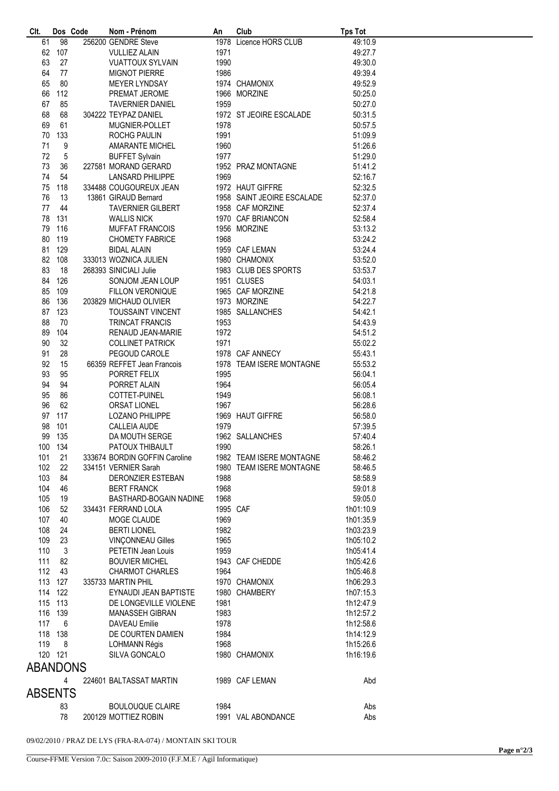| CIt.            | Dos Code |  | Nom - Prénom                  | An       | Club                       | <b>Tps Tot</b> |  |
|-----------------|----------|--|-------------------------------|----------|----------------------------|----------------|--|
| 61              | 98       |  | 256200 GENDRE Steve           |          | 1978 Licence HORS CLUB     | 49:10.9        |  |
| 62              | 107      |  | <b>VULLIEZ ALAIN</b>          | 1971     |                            | 49:27.7        |  |
| 63              | 27       |  | <b>VUATTOUX SYLVAIN</b>       | 1990     |                            | 49:30.0        |  |
|                 |          |  |                               |          |                            |                |  |
| 64              | 77       |  | <b>MIGNOT PIERRE</b>          | 1986     |                            | 49:39.4        |  |
| 65              | 80       |  | MEYER LYNDSAY                 |          | 1974 CHAMONIX              | 49:52.9        |  |
| 66              | 112      |  | PREMAT JEROME                 |          | 1966 MORZINE               | 50:25.0        |  |
| 67              | 85       |  | <b>TAVERNIER DANIEL</b>       | 1959     |                            | 50:27.0        |  |
| 68              | 68       |  | 304222 TEYPAZ DANIEL          |          | 1972 ST JEOIRE ESCALADE    | 50:31.5        |  |
| 69              | 61       |  | MUGNIER-POLLET                | 1978     |                            | 50:57.5        |  |
|                 |          |  |                               |          |                            |                |  |
| 70              | 133      |  | <b>ROCHG PAULIN</b>           | 1991     |                            | 51:09.9        |  |
| 71              | 9        |  | <b>AMARANTE MICHEL</b>        | 1960     |                            | 51:26.6        |  |
| 72              | 5        |  | <b>BUFFET Sylvain</b>         | 1977     |                            | 51:29.0        |  |
| 73              | 36       |  | 227581 MORAND GERARD          |          | 1952 PRAZ MONTAGNE         | 51:41.2        |  |
| 74              | 54       |  | LANSARD PHILIPPE              | 1969     |                            | 52:16.7        |  |
|                 |          |  |                               |          |                            |                |  |
| 75              | 118      |  | 334488 COUGOUREUX JEAN        |          | 1972 HAUT GIFFRE           | 52:32.5        |  |
| 76              | 13       |  | 13861 GIRAUD Bernard          |          | 1958 SAINT JEOIRE ESCALADE | 52:37.0        |  |
| 77              | 44       |  | <b>TAVERNIER GILBERT</b>      |          | 1958 CAF MORZINE           | 52:37.4        |  |
| 78              | 131      |  | <b>WALLIS NICK</b>            |          | 1970 CAF BRIANCON          | 52:58.4        |  |
| 79              | 116      |  | <b>MUFFAT FRANCOIS</b>        |          | 1956 MORZINE               | 53:13.2        |  |
|                 |          |  |                               |          |                            |                |  |
| 80              | 119      |  | <b>CHOMETY FABRICE</b>        | 1968     |                            | 53:24.2        |  |
| 81              | 129      |  | <b>BIDAL ALAIN</b>            |          | 1959 CAF LEMAN             | 53:24.4        |  |
| 82              | 108      |  | 333013 WOZNICA JULIEN         |          | 1980 CHAMONIX              | 53:52.0        |  |
| 83              | 18       |  | 268393 SINICIALI Julie        |          | 1983 CLUB DES SPORTS       | 53:53.7        |  |
| 84              | 126      |  | SONJOM JEAN LOUP              |          | 1951 CLUSES                | 54:03.1        |  |
|                 |          |  |                               |          |                            |                |  |
| 85              | 109      |  | FILLON VERONIQUE              |          | 1965 CAF MORZINE           | 54:21.8        |  |
| 86              | 136      |  | 203829 MICHAUD OLIVIER        |          | 1973 MORZINE               | 54:22.7        |  |
| 87              | 123      |  | <b>TOUSSAINT VINCENT</b>      |          | 1985 SALLANCHES            | 54:42.1        |  |
| 88              | 70       |  | TRINCAT FRANCIS               | 1953     |                            | 54:43.9        |  |
| 89              | 104      |  | RENAUD JEAN-MARIE             | 1972     |                            | 54:51.2        |  |
|                 |          |  |                               |          |                            |                |  |
| 90              | 32       |  | <b>COLLINET PATRICK</b>       | 1971     |                            | 55:02.2        |  |
| 91              | 28       |  | PEGOUD CAROLE                 |          | 1978 CAF ANNECY            | 55:43.1        |  |
| 92              | 15       |  | 66359 REFFET Jean Francois    |          | 1978 TEAM ISERE MONTAGNE   | 55:53.2        |  |
| 93              | 95       |  | PORRET FELIX                  | 1995     |                            | 56:04.1        |  |
| 94              | 94       |  | PORRET ALAIN                  | 1964     |                            | 56:05.4        |  |
|                 |          |  |                               |          |                            |                |  |
| 95              | 86       |  | COTTET-PUINEL                 | 1949     |                            | 56:08.1        |  |
| 96              | 62       |  | ORSAT LIONEL                  | 1967     |                            | 56:28.6        |  |
| 97              | 117      |  | <b>LOZANO PHILIPPE</b>        |          | 1969 HAUT GIFFRE           | 56:58.0        |  |
| 98              | 101      |  | CALLEIA AUDE                  | 1979     |                            | 57:39.5        |  |
| 99              | 135      |  | DA MOUTH SERGE                |          | 1962 SALLANCHES            | 57:40.4        |  |
|                 |          |  |                               |          |                            |                |  |
| 100             | 134      |  | PATOUX THIBAULT               | 1990     |                            | 58:26.1        |  |
| 101             | 21       |  | 333674 BORDIN GOFFIN Caroline |          | 1982 TEAM ISERE MONTAGNE   | 58:46.2        |  |
| 102             | 22       |  | 334151 VERNIER Sarah          |          | 1980 TEAM ISERE MONTAGNE   | 58:46.5        |  |
| 103             | 84       |  | DERONZIER ESTEBAN             | 1988     |                            | 58:58.9        |  |
| 104             | 46       |  | <b>BERT FRANCK</b>            | 1968     |                            | 59:01.8        |  |
|                 |          |  |                               |          |                            |                |  |
| 105             | 19       |  | BASTHARD-BOGAIN NADINE        | 1968     |                            | 59:05.0        |  |
| 106             | 52       |  | 334431 FERRAND LOLA           | 1995 CAF |                            | 1h01:10.9      |  |
| 107             | 40       |  | MOGE CLAUDE                   | 1969     |                            | 1h01:35.9      |  |
| 108             | 24       |  | <b>BERTI LIONEL</b>           | 1982     |                            | 1h03:23.9      |  |
| 109             | 23       |  | <b>VINÇONNEAU Gilles</b>      | 1965     |                            | 1h05:10.2      |  |
|                 |          |  | <b>PETETIN Jean Louis</b>     | 1959     |                            | 1h05:41.4      |  |
| 110             | 3        |  |                               |          |                            |                |  |
| 111             | 82       |  | <b>BOUVIER MICHEL</b>         |          | 1943 CAF CHEDDE            | 1h05:42.6      |  |
| 112             | 43       |  | <b>CHARMOT CHARLES</b>        | 1964     |                            | 1h05:46.8      |  |
|                 | 113 127  |  | 335733 MARTIN PHIL            |          | 1970 CHAMONIX              | 1h06:29.3      |  |
|                 | 114 122  |  | EYNAUDI JEAN BAPTISTE         |          | 1980 CHAMBERY              | 1h07:15.3      |  |
|                 | 115 113  |  |                               |          |                            |                |  |
|                 |          |  | DE LONGEVILLE VIOLENE         | 1981     |                            | 1h12:47.9      |  |
|                 | 116 139  |  | MANASSEH GIBRAN               | 1983     |                            | 1h12:57.2      |  |
| 117             | 6        |  | <b>DAVEAU Emilie</b>          | 1978     |                            | 1h12:58.6      |  |
|                 | 118 138  |  | DE COURTEN DAMIEN             | 1984     |                            | 1h14:12.9      |  |
| 119             | 8        |  | <b>LOHMANN Régis</b>          | 1968     |                            | 1h15:26.6      |  |
| 120 121         |          |  | SILVA GONCALO                 |          | 1980 CHAMONIX              | 1h16:19.6      |  |
|                 |          |  |                               |          |                            |                |  |
| <b>ABANDONS</b> |          |  |                               |          |                            |                |  |
|                 | 4        |  | 224601 BALTASSAT MARTIN       |          | 1989 CAF LEMAN             | Abd            |  |
|                 |          |  |                               |          |                            |                |  |
| <b>ABSENTS</b>  |          |  |                               |          |                            |                |  |
|                 | 83       |  | <b>BOULOUQUE CLAIRE</b>       | 1984     |                            | Abs            |  |
|                 | 78       |  | 200129 MOTTIEZ ROBIN          |          | 1991 VAL ABONDANCE         | Abs            |  |
|                 |          |  |                               |          |                            |                |  |

09/02/2010 / PRAZ DE LYS (FRA-RA-074) / MONTAIN SKI TOUR